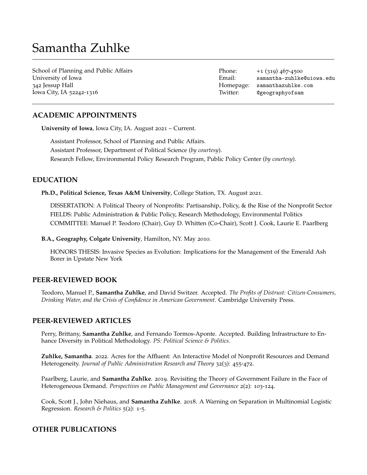# Samantha Zuhlke

School of Planning and Public Affairs University of Iowa 342 Jessup Hall Iowa City, IA 52242-1316

Phone:  $+1$  (319) 467-4500 Email: [samantha-zuhlke@uiowa.edu](mailto:samantha-zuhlke@uiowa.edu) Homepage: [samanthazuhlke.com](https://samanthazuhlke.com/) Twitter: [@geographyofsam](https://twitter.com/geographyofsam)

# **ACADEMIC APPOINTMENTS**

**University of Iowa**, Iowa City, IA. August 2021 – Current.

Assistant Professor, School of Planning and Public Affairs. Assistant Professor, Department of Political Science (*by courtesy*). Research Fellow, Environmental Policy Research Program, Public Policy Center (*by courtesy*).

# **EDUCATION**

**Ph.D., Political Science, Texas A&M University**, College Station, TX. August 2021.

DISSERTATION: A Political Theory of Nonprofits: Partisanship, Policy, & the Rise of the Nonprofit Sector FIELDS: Public Administration & Public Policy, Research Methodology, Environmental Politics COMMITTEE: Manuel P. Teodoro (Chair), Guy D. Whitten (Co-Chair), Scott J. Cook, Laurie E. Paarlberg

**B.A., Geography, Colgate University**, Hamilton, NY. May 2010.

HONORS THESIS: Invasive Species as Evolution: Implications for the Management of the Emerald Ash Borer in Upstate New York

# **PEER-REVIEWED BOOK**

Teodoro, Manuel P., **Samantha Zuhlke**, and David Switzer. Accepted. *The Profits of Distrust: Citizen-Consumers, Drinking Water, and the Crisis of Confidence in American Government.* Cambridge University Press.

## **PEER-REVIEWED ARTICLES**

Perry, Brittany, **Samantha Zuhlke**, and Fernando Tormos-Aponte. Accepted. Building Infrastructure to Enhance Diversity in Political Methodology. *PS: Political Science & Politics*.

**Zuhlke, Samantha**. 2022. Acres for the Affluent: An Interactive Model of Nonprofit Resources and Demand Heterogeneity. *Journal of Public Administration Research and Theory* 32(3): 455-472.

Paarlberg, Laurie, and **Samantha Zuhlke**. 2019. Revisiting the Theory of Government Failure in the Face of Heterogeneous Demand. *Perspectives on Public Management and Governance* 2(2): 103-124.

Cook, Scott J., John Niehaus, and **Samantha Zuhlke**. 2018. A Warning on Separation in Multinomial Logistic Regression. *Research & Politics* 5(2): 1-5.

# **OTHER PUBLICATIONS**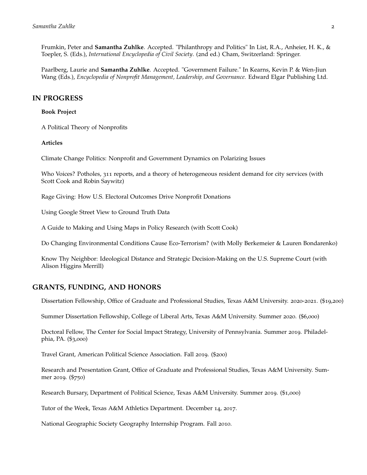Frumkin, Peter and **Samantha Zuhlke**. Accepted. "Philanthropy and Politics" In List, R.A., Anheier, H. K., & Toepler, S. (Eds.), *International Encyclopedia of Civil Society*. (2nd ed.) Cham, Switzerland: Springer.

Paarlberg, Laurie and **Samantha Zuhlke**. Accepted. "Government Failure." In Kearns, Kevin P. & Wen-Jiun Wang (Eds.), *Encyclopedia of Nonprofit Management, Leadership, and Governance.* Edward Elgar Publishing Ltd.

## **IN PROGRESS**

#### **Book Project**

A Political Theory of Nonprofits

#### **Articles**

Climate Change Politics: Nonprofit and Government Dynamics on Polarizing Issues

Who Voices? Potholes, 311 reports, and a theory of heterogeneous resident demand for city services (with Scott Cook and Robin Saywitz)

Rage Giving: How U.S. Electoral Outcomes Drive Nonprofit Donations

Using Google Street View to Ground Truth Data

A Guide to Making and Using Maps in Policy Research (with Scott Cook)

Do Changing Environmental Conditions Cause Eco-Terrorism? (with Molly Berkemeier & Lauren Bondarenko)

Know Thy Neighbor: Ideological Distance and Strategic Decision-Making on the U.S. Supreme Court (with Alison Higgins Merrill)

# **GRANTS, FUNDING, AND HONORS**

Dissertation Fellowship, Office of Graduate and Professional Studies, Texas A&M University. 2020-2021. (\$19,200)

Summer Dissertation Fellowship, College of Liberal Arts, Texas A&M University. Summer 2020. (\$6,000)

Doctoral Fellow, The Center for Social Impact Strategy, University of Pennsylvania. Summer 2019. Philadelphia, PA. (\$3,000)

Travel Grant, American Political Science Association. Fall 2019. (\$200)

Research and Presentation Grant, Office of Graduate and Professional Studies, Texas A&M University. Summer 2019. (\$750)

Research Bursary, Department of Political Science, Texas A&M University. Summer 2019. (\$1,000)

Tutor of the Week, Texas A&M Athletics Department. December 14, 2017.

National Geographic Society Geography Internship Program. Fall 2010.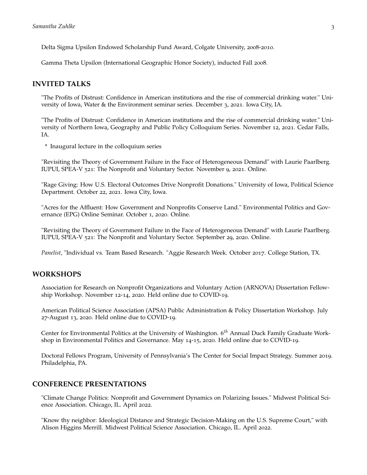Delta Sigma Upsilon Endowed Scholarship Fund Award, Colgate University, 2008-2010.

Gamma Theta Upsilon (International Geographic Honor Society), inducted Fall 2008.

## **INVITED TALKS**

"The Profits of Distrust: Confidence in American institutions and the rise of commercial drinking water." University of Iowa, Water & the Environment seminar series. December 3, 2021. Iowa City, IA.

"The Profits of Distrust: Confidence in American institutions and the rise of commercial drinking water." University of Northern Iowa, Geography and Public Policy Colloquium Series. November 12, 2021. Cedar Falls, IA.

\* Inaugural lecture in the colloquium series

"Revisiting the Theory of Government Failure in the Face of Heterogeneous Demand" with Laurie Paarlberg. IUPUI, SPEA-V 521: The Nonprofit and Voluntary Sector. November 9, 2021. Online.

"Rage Giving: How U.S. Electoral Outcomes Drive Nonprofit Donations." University of Iowa, Political Science Department. October 22, 2021. Iowa City, Iowa.

"Acres for the Affluent: How Government and Nonprofits Conserve Land." Environmental Politics and Governance (EPG) Online Seminar. October 1, 2020. Online.

"Revisiting the Theory of Government Failure in the Face of Heterogeneous Demand" with Laurie Paarlberg. IUPUI, SPEA-V 521: The Nonprofit and Voluntary Sector. September 29, 2020. Online.

*Panelist*, "Individual vs. Team Based Research. "Aggie Research Week. October 2017. College Station, TX.

# **WORKSHOPS**

Association for Research on Nonprofit Organizations and Voluntary Action (ARNOVA) Dissertation Fellowship Workshop. November 12-14, 2020. Held online due to COVID-19.

American Political Science Association (APSA) Public Administration & Policy Dissertation Workshop. July 27-August 13, 2020. Held online due to COVID-19.

Center for Environmental Politics at the University of Washington. 6 *th* Annual Duck Family Graduate Workshop in Environmental Politics and Governance. May 14-15, 2020. Held online due to COVID-19.

Doctoral Fellows Program, University of Pennsylvania's The Center for Social Impact Strategy. Summer 2019. Philadelphia, PA.

# **CONFERENCE PRESENTATIONS**

"Climate Change Politics: Nonprofit and Government Dynamics on Polarizing Issues." Midwest Political Science Association. Chicago, IL. April 2022.

"Know thy neighbor: Ideological Distance and Strategic Decision-Making on the U.S. Supreme Court," with Alison Higgins Merrill. Midwest Political Science Association. Chicago, IL. April 2022.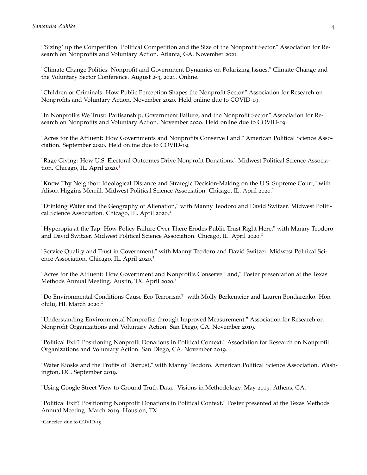"'Sizing' up the Competition: Political Competition and the Size of the Nonprofit Sector." Association for Research on Nonprofits and Voluntary Action. Atlanta, GA. November 2021.

"Climate Change Politics: Nonprofit and Government Dynamics on Polarizing Issues." Climate Change and the Voluntary Sector Conference. August 2-3, 2021. Online.

"Children or Criminals: How Public Perception Shapes the Nonprofit Sector." Association for Research on Nonprofits and Voluntary Action. November 2020. Held online due to COVID-19.

"In Nonprofits We Trust: Partisanship, Government Failure, and the Nonprofit Sector." Association for Research on Nonprofits and Voluntary Action. November 2020. Held online due to COVID-19.

"Acres for the Affluent: How Governments and Nonprofits Conserve Land." American Political Science Association. September 2020. Held online due to COVID-19.

"Rage Giving: How U.S. Electoral Outcomes Drive Nonprofit Donations." Midwest Political Science Associa-tion. Chicago, IL. April 2020.<sup>[1](#page-3-0)</sup>

"Know Thy Neighbor: Ideological Distance and Strategic Decision-Making on the U.S. Supreme Court," with Alison Higgins Merrill. Midwest Political Science Association. Chicago, IL. April 2020.<sup>1</sup>

"Drinking Water and the Geography of Alienation," with Manny Teodoro and David Switzer. Midwest Political Science Association. Chicago, IL. April 2020.<sup>1</sup>

"Hyperopia at the Tap: How Policy Failure Over There Erodes Public Trust Right Here," with Manny Teodoro and David Switzer. Midwest Political Science Association. Chicago, IL. April 2020. 1

"Service Quality and Trust in Government," with Manny Teodoro and David Switzer. Midwest Political Science Association. Chicago, IL. April 2020.<sup>1</sup>

"Acres for the Affluent: How Government and Nonprofits Conserve Land," Poster presentation at the Texas Methods Annual Meeting. Austin, TX. April 2020.<sup>1</sup>

"Do Environmental Conditions Cause Eco-Terrorism?" with Molly Berkemeier and Lauren Bondarenko. Honolulu, HI. March 2020. 1

"Understanding Environmental Nonprofits through Improved Measurement." Association for Research on Nonprofit Organizations and Voluntary Action. San Diego, CA. November 2019.

"Political Exit? Positioning Nonprofit Donations in Political Context." Association for Research on Nonprofit Organizations and Voluntary Action. San Diego, CA. November 2019.

"Water Kiosks and the Profits of Distrust," with Manny Teodoro. American Political Science Association. Washington, DC. September 2019.

"Using Google Street View to Ground Truth Data." Visions in Methodology. May 2019. Athens, GA.

"Political Exit? Positioning Nonprofit Donations in Political Context." Poster presented at the Texas Methods Annual Meeting. March 2019. Houston, TX.

<span id="page-3-0"></span><sup>&</sup>lt;sup>1</sup>Canceled due to COVID-19.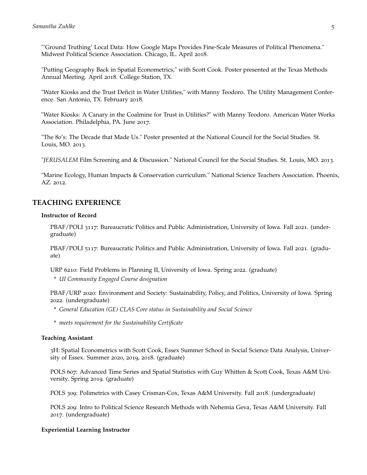"'Ground Truthing' Local Data: How Google Maps Provides Fine-Scale Measures of Political Phenomena." Midwest Political Science Association. Chicago, IL. April 2018.

"Putting Geography Back in Spatial Econometrics," with Scott Cook. Poster presented at the Texas Methods Annual Meeting. April 2018. College Station, TX.

"Water Kiosks and the Trust Deficit in Water Utilities," with Manny Teodoro. The Utility Management Conference. San Antonio, TX. February 2018.

"Water Kiosks: A Canary in the Coalmine for Trust in Utilities?" with Manny Teodoro. American Water Works Association. Philadelphia, PA. June 2017.

"The 80's: The Decade that Made Us." Poster presented at the National Council for the Social Studies. St. Louis, MO. 2013.

"*JERUSALEM* Film Screening and & Discussion." National Council for the Social Studies. St. Louis, MO. 2013.

"Marine Ecology, Human Impacts & Conservation curriculum." National Science Teachers Association. Phoenix, AZ. 2012.

# **TEACHING EXPERIENCE**

#### **Instructor of Record**

PBAF/POLI 3117: Bureaucratic Politics and Public Administration, University of Iowa. Fall 2021. (undergraduate)

PBAF/POLI 5117: Bureaucratic Politics and Public Administration, University of Iowa. Fall 2021. (graduate)

URP 6210: Field Problems in Planning II, University of Iowa. Spring 2022. (graduate)

\* *UI Community Engaged Course designation*

PBAF/URP 2020: Environment and Society: Sustainability, Policy, and Politics, University of Iowa. Spring 2022. (undergraduate)

- \* *General Education (GE) CLAS Core status in Sustainability and Social Science*
- \* *meets requirement for the Sustainability Certificate*

#### **Teaching Assistant**

3H: Spatial Econometrics with Scott Cook, Essex Summer School in Social Science Data Analysis, University of Essex. Summer 2020, 2019, 2018. (graduate)

POLS 607: Advanced Time Series and Spatial Statistics with Guy Whitten & Scott Cook, Texas A&M University. Spring 2019. (graduate)

POLS 309: Polimetrics with Casey Crisman-Cox, Texas A&M University. Fall 2018. (undergraduate)

POLS 209: Intro to Political Science Research Methods with Nehemia Geva, Texas A&M University. Fall 2017. (undergraduate)

## **Experiential Learning Instructor**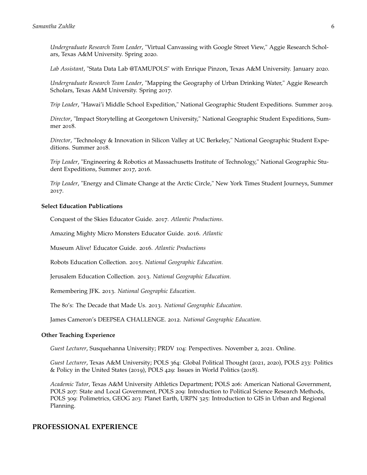*Undergraduate Research Team Leader*, "Virtual Canvassing with Google Street View," Aggie Research Scholars, Texas A&M University. Spring 2020.

*Lab Assistant*, "Stata Data Lab @TAMUPOLS" with Enrique Pinzon, Texas A&M University. January 2020.

*Undergraduate Research Team Leader*, "Mapping the Geography of Urban Drinking Water," Aggie Research Scholars, Texas A&M University. Spring 2017.

*Trip Leader*, "Hawai'i Middle School Expedition," National Geographic Student Expeditions. Summer 2019.

*Director*, "Impact Storytelling at Georgetown University," National Geographic Student Expeditions, Summer 2018.

*Director*, "Technology & Innovation in Silicon Valley at UC Berkeley," National Geographic Student Expeditions. Summer 2018.

*Trip Leader*, "Engineering & Robotics at Massachusetts Institute of Technology," National Geographic Student Expeditions, Summer 2017, 2016.

*Trip Leader*, "Energy and Climate Change at the Arctic Circle," New York Times Student Journeys, Summer 2017.

#### **Select Education Publications**

Conquest of the Skies Educator Guide. 2017. *Atlantic Productions*.

Amazing Mighty Micro Monsters Educator Guide. 2016. *Atlantic*

Museum Alive! Educator Guide. 2016. *Atlantic Productions*

Robots Education Collection. 2015. *National Geographic Education.*

Jerusalem Education Collection. 2013. *National Geographic Education.*

Remembering JFK. 2013. *National Geographic Education*.

The 80's: The Decade that Made Us. 2013. *National Geographic Education*.

James Cameron's DEEPSEA CHALLENGE. 2012. *National Geographic Education*.

#### **Other Teaching Experience**

*Guest Lecturer*, Susquehanna University; PRDV 104: Perspectives. November 2, 2021. Online.

*Guest Lecturer*, Texas A&M University; POLS 364: Global Political Thought (2021, 2020), POLS 233: Politics & Policy in the United States (2019), POLS 429: Issues in World Politics (2018).

*Academic Tutor*, Texas A&M University Athletics Department; POLS 206: American National Government, POLS 207: State and Local Government, POLS 209: Introduction to Political Science Research Methods, POLS 309: Polimetrics, GEOG 203: Planet Earth, URPN 325: Introduction to GIS in Urban and Regional Planning.

## **PROFESSIONAL EXPERIENCE**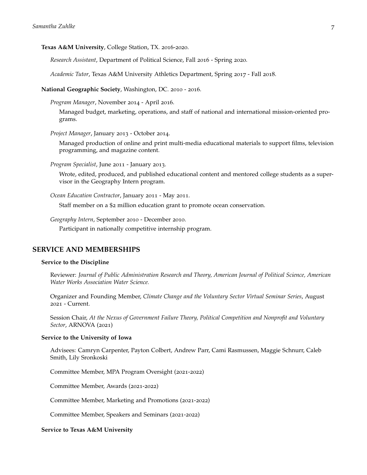#### **Texas A&M University**, College Station, TX. 2016-2020.

*Research Assistant*, Department of Political Science, Fall 2016 - Spring 2020.

*Academic Tutor*, Texas A&M University Athletics Department, Spring 2017 - Fall 2018.

**National Geographic Society**, Washington, DC. 2010 - 2016.

*Program Manager*, November 2014 - April 2016.

Managed budget, marketing, operations, and staff of national and international mission-oriented programs.

*Project Manager*, January 2013 - October 2014.

Managed production of online and print multi-media educational materials to support films, television programming, and magazine content.

*Program Specialist*, June 2011 - January 2013.

Wrote, edited, produced, and published educational content and mentored college students as a supervisor in the Geography Intern program.

*Ocean Education Contractor*, January 2011 - May 2011.

Staff member on a \$2 million education grant to promote ocean conservation.

*Geography Intern*, September 2010 - December 2010.

Participant in nationally competitive internship program.

## **SERVICE AND MEMBERSHIPS**

#### **Service to the Discipline**

Reviewer: *Journal of Public Administration Research and Theory, American Journal of Political Science, American Water Works Association Water Science.*

Organizer and Founding Member, *Climate Change and the Voluntary Sector Virtual Seminar Series*, August 2021 - Current.

Session Chair, *At the Nexus of Government Failure Theory, Political Competition and Nonprofit and Voluntary Sector*, ARNOVA (2021)

#### **Service to the University of Iowa**

Advisees: Camryn Carpenter, Payton Colbert, Andrew Parr, Cami Rasmussen, Maggie Schnurr, Caleb Smith, Lily Sronkoski

Committee Member, MPA Program Oversight (2021-2022)

Committee Member, Awards (2021-2022)

Committee Member, Marketing and Promotions (2021-2022)

Committee Member, Speakers and Seminars (2021-2022)

#### **Service to Texas A&M University**